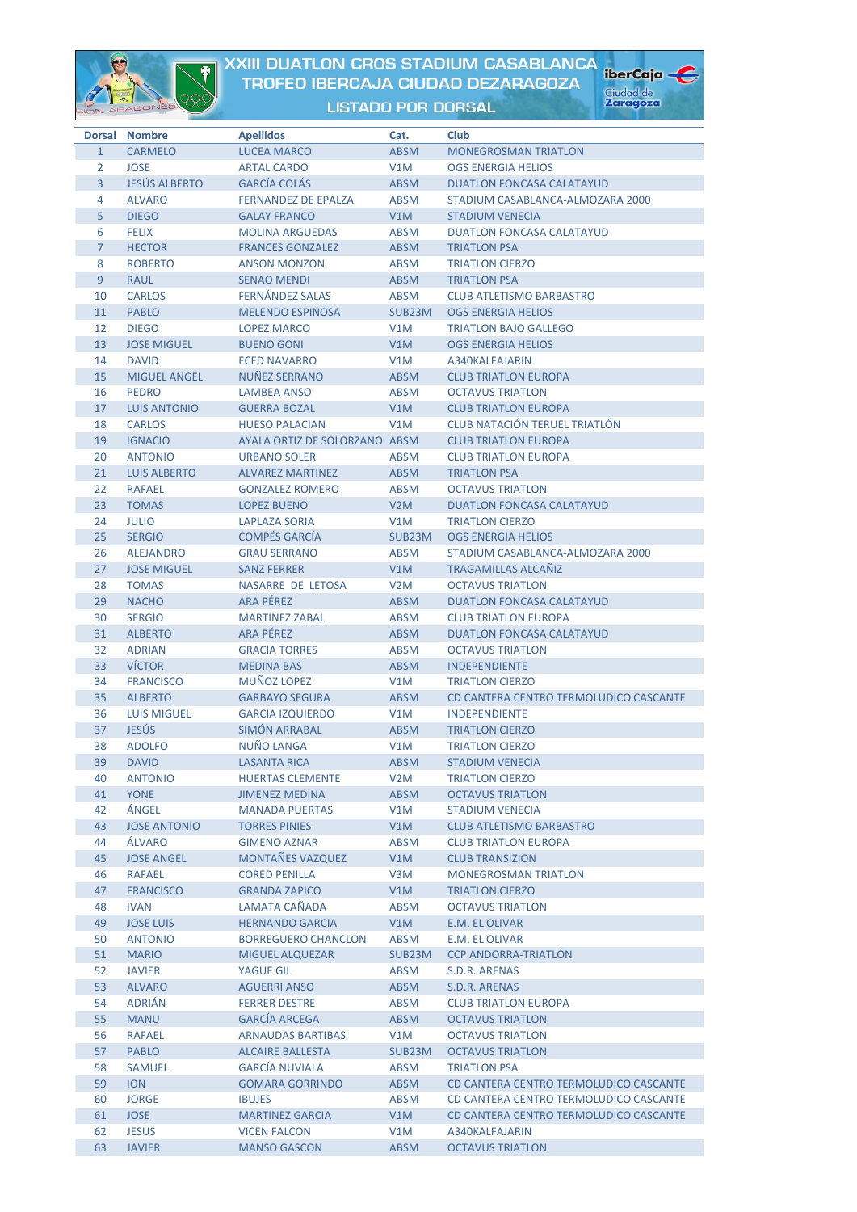

## XXIII DUATLON CROS STADIUM CASABLANCA TROFEO IBERCAJA CIUDAD DEZARAGOZA

iberCaja

Ciudad de<br>**Zaragoza** 



|                | Dorsal Nombre        | <b>Apellidos</b>              | Cat.             | Club                                   |
|----------------|----------------------|-------------------------------|------------------|----------------------------------------|
| $\mathbf{1}$   | <b>CARMELO</b>       | <b>LUCEA MARCO</b>            | <b>ABSM</b>      | <b>MONEGROSMAN TRIATLON</b>            |
| 2              | <b>JOSE</b>          | <b>ARTAL CARDO</b>            | V1M              | <b>OGS ENERGIA HELIOS</b>              |
| $\overline{3}$ | <b>JESÚS ALBERTO</b> | <b>GARCÍA COLÁS</b>           | <b>ABSM</b>      | <b>DUATLON FONCASA CALATAYUD</b>       |
| 4              | <b>ALVARO</b>        | <b>FERNANDEZ DE EPALZA</b>    | <b>ABSM</b>      | STADIUM CASABLANCA-ALMOZARA 2000       |
| 5              | <b>DIEGO</b>         | <b>GALAY FRANCO</b>           | V1M              | <b>STADIUM VENECIA</b>                 |
| 6              | <b>FELIX</b>         | <b>MOLINA ARGUEDAS</b>        | <b>ABSM</b>      | <b>DUATLON FONCASA CALATAYUD</b>       |
| $\overline{7}$ | <b>HECTOR</b>        | <b>FRANCES GONZALEZ</b>       | <b>ABSM</b>      | <b>TRIATLON PSA</b>                    |
| 8              | <b>ROBERTO</b>       | <b>ANSON MONZON</b>           | <b>ABSM</b>      | <b>TRIATLON CIERZO</b>                 |
| 9              | <b>RAUL</b>          | <b>SENAO MENDI</b>            | <b>ABSM</b>      | <b>TRIATLON PSA</b>                    |
| 10             | <b>CARLOS</b>        | <b>FERNÁNDEZ SALAS</b>        | <b>ABSM</b>      | <b>CLUB ATLETISMO BARBASTRO</b>        |
| 11             | <b>PABLO</b>         | <b>MELENDO ESPINOSA</b>       | SUB23M           | <b>OGS ENERGIA HELIOS</b>              |
| 12             | <b>DIEGO</b>         | <b>LOPEZ MARCO</b>            | V1M              | <b>TRIATLON BAJO GALLEGO</b>           |
| 13             | <b>JOSE MIGUEL</b>   | <b>BUENO GONI</b>             | V1M              | <b>OGS ENERGIA HELIOS</b>              |
| 14             | <b>DAVID</b>         | <b>ECED NAVARRO</b>           | V1M              | A340KALFAJARIN                         |
| 15             | <b>MIGUEL ANGEL</b>  | <b>NUÑEZ SERRANO</b>          | <b>ABSM</b>      | <b>CLUB TRIATLON EUROPA</b>            |
| 16             | <b>PEDRO</b>         | <b>LAMBEA ANSO</b>            | <b>ABSM</b>      | <b>OCTAVUS TRIATLON</b>                |
| 17             | <b>LUIS ANTONIO</b>  | <b>GUERRA BOZAL</b>           | V1M              | <b>CLUB TRIATLON EUROPA</b>            |
| 18             | <b>CARLOS</b>        | <b>HUESO PALACIAN</b>         | V1M              | <b>CLUB NATACIÓN TERUEL TRIATLÓN</b>   |
| 19             | <b>IGNACIO</b>       | AYALA ORTIZ DE SOLORZANO ABSM |                  | <b>CLUB TRIATLON EUROPA</b>            |
| 20             | <b>ANTONIO</b>       | <b>URBANO SOLER</b>           | <b>ABSM</b>      | <b>CLUB TRIATLON EUROPA</b>            |
| 21             | <b>LUIS ALBERTO</b>  | <b>ALVAREZ MARTINEZ</b>       | <b>ABSM</b>      | <b>TRIATLON PSA</b>                    |
| 22             | <b>RAFAEL</b>        | <b>GONZALEZ ROMERO</b>        | <b>ABSM</b>      | <b>OCTAVUS TRIATLON</b>                |
| 23             | <b>TOMAS</b>         | <b>LOPEZ BUENO</b>            | V2M              | <b>DUATLON FONCASA CALATAYUD</b>       |
| 24             | <b>JULIO</b>         | <b>LAPLAZA SORIA</b>          | V1M              | <b>TRIATLON CIERZO</b>                 |
| 25             | <b>SERGIO</b>        | <b>COMPÉS GARCÍA</b>          | SUB23M           | <b>OGS ENERGIA HELIOS</b>              |
| 26             | <b>ALEJANDRO</b>     | <b>GRAU SERRANO</b>           | <b>ABSM</b>      | STADIUM CASABLANCA-ALMOZARA 2000       |
| 27             | <b>JOSE MIGUEL</b>   | <b>SANZ FERRER</b>            | V1M              | <b>TRAGAMILLAS ALCAÑIZ</b>             |
| 28             | <b>TOMAS</b>         | NASARRE DE LETOSA             | V2M              | <b>OCTAVUS TRIATLON</b>                |
| 29             | <b>NACHO</b>         | <b>ARA PÉREZ</b>              | <b>ABSM</b>      | <b>DUATLON FONCASA CALATAYUD</b>       |
| 30             | <b>SERGIO</b>        | <b>MARTINEZ ZABAL</b>         | <b>ABSM</b>      | <b>CLUB TRIATLON EUROPA</b>            |
| 31             | <b>ALBERTO</b>       | <b>ARA PÉREZ</b>              | <b>ABSM</b>      | <b>DUATLON FONCASA CALATAYUD</b>       |
| 32             | <b>ADRIAN</b>        | <b>GRACIA TORRES</b>          | <b>ABSM</b>      | <b>OCTAVUS TRIATLON</b>                |
| 33             | <b>VÍCTOR</b>        | <b>MEDINA BAS</b>             | <b>ABSM</b>      | <b>INDEPENDIENTE</b>                   |
| 34             | <b>FRANCISCO</b>     | <b>MUÑOZ LOPEZ</b>            | V1M              | <b>TRIATLON CIERZO</b>                 |
| 35             | <b>ALBERTO</b>       | <b>GARBAYO SEGURA</b>         | <b>ABSM</b>      | CD CANTERA CENTRO TERMOLUDICO CASCANTE |
| 36             | <b>LUIS MIGUEL</b>   | <b>GARCIA IZQUIERDO</b>       | V1M              | <b>INDEPENDIENTE</b>                   |
| 37             | <b>JESÚS</b>         | <b>SIMÓN ARRABAL</b>          | <b>ABSM</b>      | <b>TRIATLON CIERZO</b>                 |
| 38             | <b>ADOLFO</b>        | <b>NUÑO LANGA</b>             | V1M              | <b>TRIATLON CIERZO</b>                 |
| 39             | <b>DAVID</b>         | <b>LASANTA RICA</b>           | <b>ABSM</b>      | <b>STADIUM VENECIA</b>                 |
| 40             | <b>ANTONIO</b>       | <b>HUERTAS CLEMENTE</b>       | V <sub>2</sub> M | <b>TRIATLON CIERZO</b>                 |
| 41             | <b>YONE</b>          | <b>JIMENEZ MEDINA</b>         | <b>ABSM</b>      | <b>OCTAVUS TRIATLON</b>                |
| 42             | ÁNGEL                | <b>MANADA PUERTAS</b>         | V1M              | <b>STADIUM VENECIA</b>                 |
| 43             | <b>JOSE ANTONIO</b>  | <b>TORRES PINIES</b>          | V1M              | <b>CLUB ATLETISMO BARBASTRO</b>        |
| 44             | ÁLVARO               | <b>GIMENO AZNAR</b>           | <b>ABSM</b>      | <b>CLUB TRIATLON EUROPA</b>            |
| 45             | <b>JOSE ANGEL</b>    | MONTAÑES VAZQUEZ              | V1M              | <b>CLUB TRANSIZION</b>                 |
| 46             | <b>RAFAEL</b>        | <b>CORED PENILLA</b>          | V3M              | <b>MONEGROSMAN TRIATLON</b>            |
| 47             | <b>FRANCISCO</b>     | <b>GRANDA ZAPICO</b>          | V1M              | <b>TRIATLON CIERZO</b>                 |
| 48             | <b>IVAN</b>          | LAMATA CAÑADA                 | <b>ABSM</b>      | <b>OCTAVUS TRIATLON</b>                |
| 49             | <b>JOSE LUIS</b>     | <b>HERNANDO GARCIA</b>        | V1M              | E.M. EL OLIVAR                         |
| 50             | <b>ANTONIO</b>       | <b>BORREGUERO CHANCLON</b>    | <b>ABSM</b>      | E.M. EL OLIVAR                         |
| 51             | <b>MARIO</b>         | <b>MIGUEL ALQUEZAR</b>        | SUB23M           | <b>CCP ANDORRA-TRIATLÓN</b>            |
| 52             | <b>JAVIER</b>        | YAGUE GIL                     | ABSM             | S.D.R. ARENAS                          |
| 53             | <b>ALVARO</b>        | <b>AGUERRI ANSO</b>           | <b>ABSM</b>      | S.D.R. ARENAS                          |
| 54             | <b>ADRIÁN</b>        | <b>FERRER DESTRE</b>          | <b>ABSM</b>      | <b>CLUB TRIATLON EUROPA</b>            |
| 55             | <b>MANU</b>          | <b>GARCIA ARCEGA</b>          | <b>ABSM</b>      | <b>OCTAVUS TRIATLON</b>                |
| 56             | <b>RAFAEL</b>        | <b>ARNAUDAS BARTIBAS</b>      | V1M              | <b>OCTAVUS TRIATLON</b>                |
| 57             | <b>PABLO</b>         | <b>ALCAIRE BALLESTA</b>       | SUB23M           | <b>OCTAVUS TRIATLON</b>                |
| 58             | <b>SAMUEL</b>        | <b>GARCÍA NUVIALA</b>         | ABSM             | <b>TRIATLON PSA</b>                    |
| 59             | <b>ION</b>           | <b>GOMARA GORRINDO</b>        | ABSM             | CD CANTERA CENTRO TERMOLUDICO CASCANTE |
| 60             | <b>JORGE</b>         | <b>IBUJES</b>                 | ABSM             | CD CANTERA CENTRO TERMOLUDICO CASCANTE |
| 61             | <b>JOSE</b>          | <b>MARTINEZ GARCIA</b>        | V1M              | CD CANTERA CENTRO TERMOLUDICO CASCANTE |
| 62             | <b>JESUS</b>         | <b>VICEN FALCON</b>           | V1M              | A340KALFAJARIN                         |
| 63             | <b>JAVIER</b>        | <b>MANSO GASCON</b>           | <b>ABSM</b>      | <b>OCTAVUS TRIATLON</b>                |
|                |                      |                               |                  |                                        |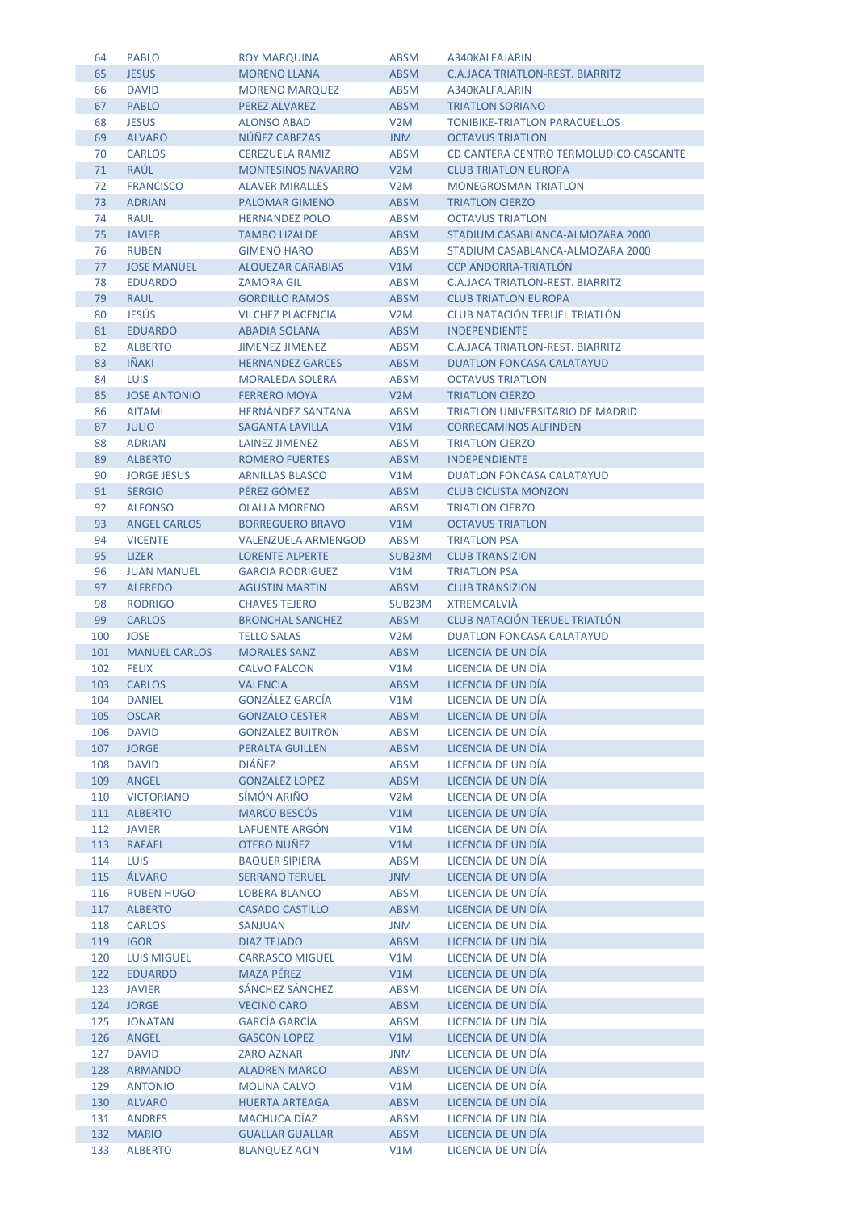| 64  | <b>PABLO</b>         | <b>ROY MARQUINA</b>        | ABSM             | A340KALFAJARIN                          |
|-----|----------------------|----------------------------|------------------|-----------------------------------------|
| 65  | <b>JESUS</b>         | <b>MORENO LLANA</b>        | <b>ABSM</b>      | C.A.JACA TRIATLON-REST. BIARRITZ        |
| 66  | <b>DAVID</b>         | <b>MORENO MARQUEZ</b>      | ABSM             | A340KALFAJARIN                          |
| 67  | <b>PABLO</b>         | <b>PEREZ ALVAREZ</b>       | <b>ABSM</b>      | <b>TRIATLON SORIANO</b>                 |
| 68  | <b>JESUS</b>         | <b>ALONSO ABAD</b>         | V2M              | <b>TONIBIKE-TRIATLON PARACUELLOS</b>    |
| 69  | <b>ALVARO</b>        | NÚÑEZ CABEZAS              | <b>MNU</b>       | <b>OCTAVUS TRIATLON</b>                 |
| 70  | <b>CARLOS</b>        | <b>CEREZUELA RAMIZ</b>     | ABSM             | CD CANTERA CENTRO TERMOLUDICO CASCANTE  |
| 71  | RAÚL                 | <b>MONTESINOS NAVARRO</b>  | V <sub>2</sub> M | <b>CLUB TRIATLON EUROPA</b>             |
|     |                      |                            |                  |                                         |
| 72  | <b>FRANCISCO</b>     | <b>ALAVER MIRALLES</b>     | V2M              | <b>MONEGROSMAN TRIATLON</b>             |
| 73  | <b>ADRIAN</b>        | <b>PALOMAR GIMENO</b>      | <b>ABSM</b>      | <b>TRIATLON CIERZO</b>                  |
| 74  | <b>RAUL</b>          | <b>HERNANDEZ POLO</b>      | <b>ABSM</b>      | <b>OCTAVUS TRIATLON</b>                 |
| 75  | <b>JAVIER</b>        | <b>TAMBO LIZALDE</b>       | <b>ABSM</b>      | STADIUM CASABLANCA-ALMOZARA 2000        |
| 76  | <b>RUBEN</b>         | <b>GIMENO HARO</b>         | <b>ABSM</b>      | STADIUM CASABLANCA-ALMOZARA 2000        |
| 77  | <b>JOSE MANUEL</b>   | <b>ALQUEZAR CARABIAS</b>   | V1M              | <b>CCP ANDORRA-TRIATLÓN</b>             |
| 78  | <b>EDUARDO</b>       | <b>ZAMORA GIL</b>          | <b>ABSM</b>      | <b>C.A.JACA TRIATLON-REST. BIARRITZ</b> |
| 79  | <b>RAUL</b>          | <b>GORDILLO RAMOS</b>      | <b>ABSM</b>      | <b>CLUB TRIATLON EUROPA</b>             |
| 80  | <b>JESÚS</b>         | <b>VILCHEZ PLACENCIA</b>   | V2M              | <b>CLUB NATACIÓN TERUEL TRIATLÓN</b>    |
| 81  | <b>EDUARDO</b>       | <b>ABADIA SOLANA</b>       | <b>ABSM</b>      | <b>INDEPENDIENTE</b>                    |
| 82  | <b>ALBERTO</b>       | <b>JIMENEZ JIMENEZ</b>     | ABSM             | C.A.JACA TRIATLON-REST. BIARRITZ        |
| 83  | <b>IÑAKI</b>         | <b>HERNANDEZ GARCES</b>    | <b>ABSM</b>      | <b>DUATLON FONCASA CALATAYUD</b>        |
| 84  | <b>LUIS</b>          | <b>MORALEDA SOLERA</b>     | ABSM             | <b>OCTAVUS TRIATLON</b>                 |
| 85  | <b>JOSE ANTONIO</b>  | <b>FERRERO MOYA</b>        | V <sub>2</sub> M | <b>TRIATLON CIERZO</b>                  |
| 86  | <b>AITAMI</b>        | <b>HERNÁNDEZ SANTANA</b>   | <b>ABSM</b>      | TRIATLÓN UNIVERSITARIO DE MADRID        |
| 87  | <b>JULIO</b>         | <b>SAGANTA LAVILLA</b>     | V1M              | <b>CORRECAMINOS ALFINDEN</b>            |
| 88  | <b>ADRIAN</b>        | LAINEZ JIMENEZ             | <b>ABSM</b>      | <b>TRIATLON CIERZO</b>                  |
| 89  | <b>ALBERTO</b>       | <b>ROMERO FUERTES</b>      | <b>ABSM</b>      | <b>INDEPENDIENTE</b>                    |
| 90  | <b>JORGE JESUS</b>   | <b>ARNILLAS BLASCO</b>     | V1M              | <b>DUATLON FONCASA CALATAYUD</b>        |
| 91  | <b>SERGIO</b>        | PÉREZ GÓMEZ                | <b>ABSM</b>      | <b>CLUB CICLISTA MONZON</b>             |
| 92  | <b>ALFONSO</b>       | <b>OLALLA MORENO</b>       | ABSM             | <b>TRIATLON CIERZO</b>                  |
| 93  | <b>ANGEL CARLOS</b>  | <b>BORREGUERO BRAVO</b>    | V1M              | <b>OCTAVUS TRIATLON</b>                 |
| 94  | <b>VICENTE</b>       | <b>VALENZUELA ARMENGOD</b> | <b>ABSM</b>      | <b>TRIATLON PSA</b>                     |
| 95  | <b>LIZER</b>         | <b>LORENTE ALPERTE</b>     |                  | <b>CLUB TRANSIZION</b>                  |
| 96  |                      |                            | SUB23M           |                                         |
|     | <b>JUAN MANUEL</b>   | <b>GARCIA RODRIGUEZ</b>    | V1M              | <b>TRIATLON PSA</b>                     |
| 97  | <b>ALFREDO</b>       | <b>AGUSTIN MARTIN</b>      | <b>ABSM</b>      | <b>CLUB TRANSIZION</b>                  |
| 98  | <b>RODRIGO</b>       | <b>CHAVES TEJERO</b>       | SUB23M           | <b>XTREMCALVIA</b>                      |
| 99  | <b>CARLOS</b>        | <b>BRONCHAL SANCHEZ</b>    | <b>ABSM</b>      | <b>CLUB NATACIÓN TERUEL TRIATLÓN</b>    |
| 100 | <b>JOSE</b>          | <b>TELLO SALAS</b>         | V2M              | <b>DUATLON FONCASA CALATAYUD</b>        |
| 101 | <b>MANUEL CARLOS</b> | <b>MORALES SANZ</b>        | <b>ABSM</b>      | LICENCIA DE UN DÍA                      |
| 102 | <b>FELIX</b>         | <b>CALVO FALCON</b>        | V1M              | LICENCIA DE UN DÍA                      |
| 103 | <b>CARLOS</b>        | <b>VALENCIA</b>            | <b>ABSM</b>      | LICENCIA DE UN DÍA                      |
| 104 | <b>DANIEL</b>        | <b>GONZÁLEZ GARCÍA</b>     | V1M              | LICENCIA DE UN DIA                      |
| 105 | <b>OSCAR</b>         | <b>GONZALO CESTER</b>      | <b>ABSM</b>      | LICENCIA DE UN DÍA                      |
| 106 | <b>DAVID</b>         | <b>GONZALEZ BUITRON</b>    | <b>ABSM</b>      | LICENCIA DE UN DÍA                      |
| 107 | <b>JORGE</b>         | <b>PERALTA GUILLEN</b>     | <b>ABSM</b>      | LICENCIA DE UN DÍA                      |
| 108 | <b>DAVID</b>         | <b>DIÁÑEZ</b>              | <b>ABSM</b>      | LICENCIA DE UN DÍA                      |
| 109 | ANGEL                | <b>GONZALEZ LOPEZ</b>      | <b>ABSM</b>      | LICENCIA DE UN DÍA                      |
| 110 | <b>VICTORIANO</b>    | SÍMÓN ARIÑO                | V <sub>2</sub> M | LICENCIA DE UN DÍA                      |
| 111 | <b>ALBERTO</b>       | <b>MARCO BESCÓS</b>        | V1M              | LICENCIA DE UN DÍA                      |
| 112 | <b>JAVIER</b>        | LAFUENTE ARGÓN             | V1M              | LICENCIA DE UN DÍA                      |
| 113 | <b>RAFAEL</b>        | <b>OTERO NUÑEZ</b>         | V1M              | LICENCIA DE UN DÍA                      |
| 114 | <b>LUIS</b>          | <b>BAQUER SIPIERA</b>      | <b>ABSM</b>      | LICENCIA DE UN DÍA                      |
| 115 | ÁLVARO               | <b>SERRANO TERUEL</b>      | <b>MNU</b>       | LICENCIA DE UN DÍA                      |
| 116 | <b>RUBEN HUGO</b>    | <b>LOBERA BLANCO</b>       | <b>ABSM</b>      | LICENCIA DE UN DÍA                      |
| 117 | <b>ALBERTO</b>       | <b>CASADO CASTILLO</b>     | <b>ABSM</b>      | LICENCIA DE UN DÍA                      |
| 118 | <b>CARLOS</b>        | <b>SANJUAN</b>             | JNM              | LICENCIA DE UN DÍA                      |
| 119 | <b>IGOR</b>          | <b>DIAZ TEJADO</b>         | <b>ABSM</b>      | LICENCIA DE UN DÍA                      |
| 120 | <b>LUIS MIGUEL</b>   | <b>CARRASCO MIGUEL</b>     | V1M              | LICENCIA DE UN DÍA                      |
| 122 | <b>EDUARDO</b>       | <b>MAZA PÉREZ</b>          | V1M              | LICENCIA DE UN DÍA                      |
| 123 | <b>JAVIER</b>        | SÁNCHEZ SÁNCHEZ            | ABSM             | LICENCIA DE UN DÍA                      |
| 124 | <b>JORGE</b>         | <b>VECINO CARO</b>         | <b>ABSM</b>      | LICENCIA DE UN DÍA                      |
| 125 | <b>JONATAN</b>       | <b>GARCÍA GARCÍA</b>       | <b>ABSM</b>      | LICENCIA DE UN DÍA                      |
| 126 | ANGEL                | <b>GASCON LOPEZ</b>        | V1M              | LICENCIA DE UN DÍA                      |
| 127 | <b>DAVID</b>         | <b>ZARO AZNAR</b>          | JNM              | LICENCIA DE UN DÍA                      |
| 128 | <b>ARMANDO</b>       | <b>ALADREN MARCO</b>       | <b>ABSM</b>      | LICENCIA DE UN DÍA                      |
| 129 | <b>ANTONIO</b>       | <b>MOLINA CALVO</b>        | V1M              | LICENCIA DE UN DÍA                      |
| 130 | <b>ALVARO</b>        | <b>HUERTA ARTEAGA</b>      | <b>ABSM</b>      | LICENCIA DE UN DÍA                      |
| 131 | <b>ANDRES</b>        | <b>MACHUCA DÍAZ</b>        | <b>ABSM</b>      | LICENCIA DE UN DÍA                      |
| 132 | <b>MARIO</b>         | <b>GUALLAR GUALLAR</b>     | <b>ABSM</b>      | LICENCIA DE UN DÍA                      |
|     | <b>ALBERTO</b>       | <b>BLANQUEZ ACIN</b>       | V1M              | LICENCIA DE UN DÍA                      |
| 133 |                      |                            |                  |                                         |